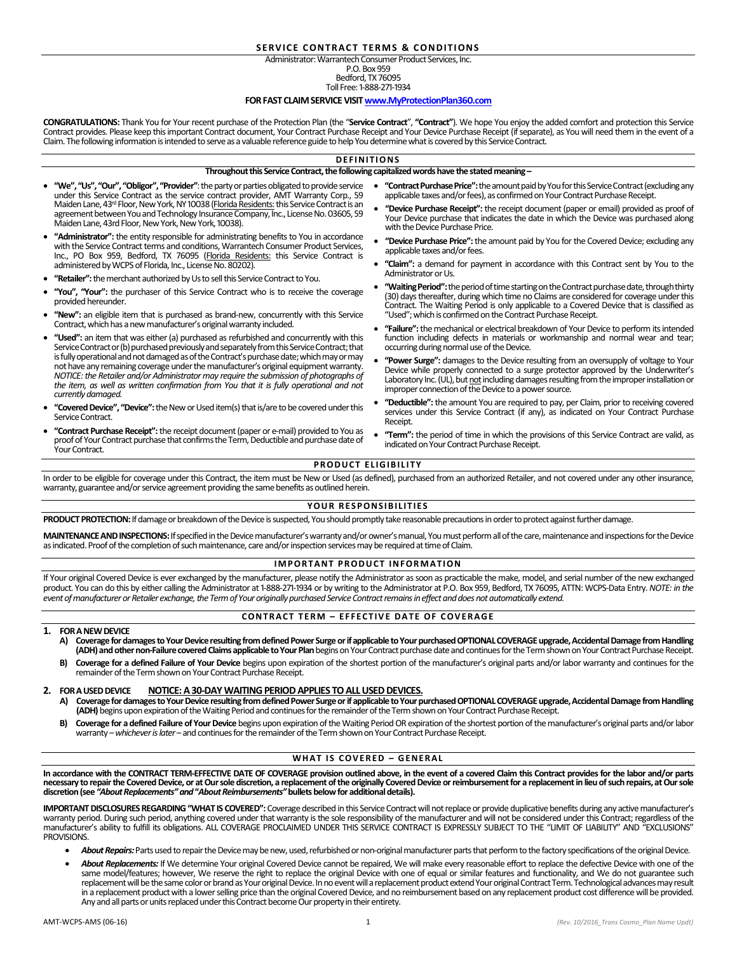# **SERVICE CONTRACT TERMS & CONDITIONS**

#### Administrator: Warrantech Consumer Product Services, Inc. P.O. Box 959

Bedford, TX 76095

Toll Free: 1-888-271-1934

#### **FOR FAST CLAIM SERVICE VISI[T www.MyProtectionPlan360.com](http://www.myprotectionplan360.com/)**

**CONGRATULATIONS:** Thank You for Your recent purchase of the Protection Plan (the "**Service Contract**", **"Contract"**). We hope You enjoy the added comfort and protection this Service Contract provides. Please keep this important Contract document, Your Contract Purchase Receipt and Your Device Purchase Receipt (if separate), as You will need them in the event of a Claim. The following information is intended to serve as a valuable reference guide to help You determine what is covered by this Service Contract.

#### **D E F I N I T I O N S**

#### **Throughout this Service Contract, the following capitalized words have the stated meaning –**

- **"We", "Us", "Our", "Obligor", "Provider"**: the party or parties obligated to provide service under this Service Contract as the service contract provider, AMT Warranty Corp., 59 Maiden Lane, 43rd Floor, New York, NY 10038 (Florida Residents: this Service Contract is an agreement between You and Technology Insurance Company, Inc., License No. 03605, 59 Maiden Lane, 43rd Floor, New York, New York, 10038).
- "Administrator": the entity responsible for administrating benefits to You in accordance with the Service Contract terms and conditions, Warrantech Consumer Product Services, Inc., PO Box 959, Bedford, TX 76095 (Florida Residents: this Service Contract is administered by WCPS of Florida, Inc., License No. 80202).
- **"Retailer":**the merchant authorized by Us to sell this Service Contract to You.
- **"You", "Your":** the purchaser of this Service Contract who is to receive the coverage provided hereunder.
- **"New":** an eligible item that is purchased as brand-new, concurrently with this Service Contract, which has a new manufacturer's original warranty included.
- **"Used":** an item that was either (a) purchased as refurbished and concurrently with this Service Contract or (b) purchased previously and separately from this Service Contract; that is fully operational and not damaged as of the Contract's purchase date; which mayor may not have any remaining coverage under the manufacturer's original equipment warranty. *NOTICE: the Retailer and/or Administrator may require the submission of photographs of*  the item, as well as written confirmation from You that it is fully operational and not *currently damaged.*
- "Covered Device", "Device": the New or Used item(s) that is/are to be covered under this Service Contract.
- **"Contract Purchase Receipt":**the receipt document (paper or e-mail) provided to You as proof of Your Contract purchase that confirms the Term, Deductible and purchase date of Your Contract.
- **"Contract Purchase Price":** the amount paid by You for this Service Contract (excluding any applicable taxes and/or fees), as confirmed on Your Contract Purchase Receipt.
- **"Device Purchase Receipt":** the receipt document (paper or email) provided as proof of Your Device purchase that indicates the date in which the Device was purchased along with the Device Purchase Price.
- **"Device Purchase Price":** the amount paid by You for the Covered Device; excluding any applicable taxes and/or fees.
- **"Claim":** a demand for payment in accordance with this Contract sent by You to the Administrator or Us.
- **"Waiting Period":**the period of time starting on the Contract purchase date, through thirty (30) days thereafter, during which time no Claims are considered for coverage under this Contract. The Waiting Period is only applicable to a Covered Device that is classified as "Used"; which is confirmed on the Contract Purchase Receipt.
- **"Failure":**the mechanical or electrical breakdown of Your Device to perform its intended function including defects in materials or workmanship and normal wear and tear; occurring during normal useof the Device.
- **"Power Surge":** damages to the Device resulting from an oversupply of voltage to Your Device while properly connected to a surge protector approved by the Underwriter's Laboratory Inc. (UL), but not including damages resulting from the improper installation or improper connection of the Device to a power source.
- **"Deductible":** the amount You are required to pay, per Claim, prior to receiving covered services under this Service Contract (if any), as indicated on Your Contract Purchase **Receint**
- **"Term":** the period of time in which the provisions of this Service Contract are valid, as indicated on Your Contract Purchase Receipt.

# **PRODUCT ELIGIBILITY**

In order to be eligible for coverage under this Contract, the item must be New or Used (as defined), purchased from an authorized Retailer, and not covered under any other insurance, warranty, guarantee and/or service agreement providing the same benefits as outlined herein.

# **YOUR RESPONSIBILITIES**

PRODUCT PROTECTION: If damage or breakdown of the Device is suspected, You should promptly take reasonable precautions in order to protect against further damage.

**MAINTENANCE AND INSPECTIONS:**If specified in the Devicemanufacturer's warranty and/or owner's manual, You must perform all of the care, maintenance and inspections for the Device as indicated. Proof of the completion of such maintenance, care and/or inspection services may be required at time of Claim.

#### **IMPORTANT PRODUCT INFORMATION**

If Your original Covered Device is ever exchanged by the manufacturer, please notify the Administrator as soon as practicable the make, model, and serial number of the new exchanged product. You can do this by either calling the Administrator at 1-888-271-1934 or by writing to the Administrator at P.O. Box 959, Bedford, TX 76095, ATTN: WCPS-Data Entry. *NOTE: in the event of manufacturer or Retailer exchange, the Term of Your originally purchased Service Contract remains in effect and does not automatically extend.*

# **CONTRACT TERM – EFFECTIVE DATE OF COVERAGE**

#### **1. FOR A NEWDEVICE**

- Coverage for damages to Your Device resulting from defined Power Surge or if applicable to Your purchased OPTIONAL COVERAGE upgrade, Accidental Damage from Handling **(ADH) andother non-Failure covered Claims applicable to Your Plan** begins on Your Contract purchase dateand continues for the Term shown on Your Contract Purchase Receipt.
- **B) Coverage for a defined Failure of Your Device** begins upon expiration of the shortest portion of the manufacturer's original parts and/or labor warranty and continues for the remainder of the Term shown on Your Contract Purchase Receipt.

# **2. FOR A USED DEVICE NOTICE: A 30-DAY WAITING PERIOD APPLIES TO ALL USED DEVICES.**

- Coverage for damages to Your Device resulting from defined Power Surge or if applicable to Your purchased OPTIONAL COVERAGE upgrade, Accidental Damage from Handling **(ADH)** begins upon expiration of the Waiting Periodand continues for the remainder of theTerm shown on Your Contract Purchase Receipt.
- **B)** Coverage for a defined Failure of Your Device begins upon expiration of the Waiting Period OR expiration of the shortest portion of the manufacturer's original parts and/or labor warranty –*whichever is later*– and continues for the remainder of theTermshown on Your Contract Purchase Receipt.

# **WHAT IS COVERED - GENERAL**

**In accordance with the CONTRACT TERM-EFFECTIVE DATE OF COVERAGE provision outlined above, in the event of a covered Claim this Contract provides for the labor and/or parts**  necessary to repair the Covered Device, or at Our sole discretion, a replacement of the originally Covered Device or reimbursement for a replacement in lieu of such repairs, at Our sole<br>discretion (see *"About Replacements* 

**IMPORTANT DISCLOSURES REGARDING "WHAT IS COVERED":** Coverage described in this Service Contract will not replace or provide duplicative benefits during any active manufacturer's warranty period. During such period, anything covered under that warranty is the sole responsibility of the manufacturer and will not be considered under this Contract; regardless of the<br>manufacturer's ability to fulfill i PROVISIONS.

- About Repairs: Parts used to repair the Device may be new, used, refurbished or non-original manufacturer parts that perform to the factory specifications of the original Device.
- About Replacements: If We determine Your original Covered Device cannot be repaired, We will make every reasonable effort to replace the defective Device with one of the same model/features; however, We reserve the right to replace the original Device with one of equal or similar features and functionality, and We do not guarantee such replacement will be the same color or brand as Your original Device. In no event will a replacement product extend Your original Contract Term. Technological advances may result in a replacement product with a lower selling price than the original Covered Device, and no reimbursement based on any replacement product cost difference will be provided. Any and all parts or units replaced under this Contract become Our property in their entirety.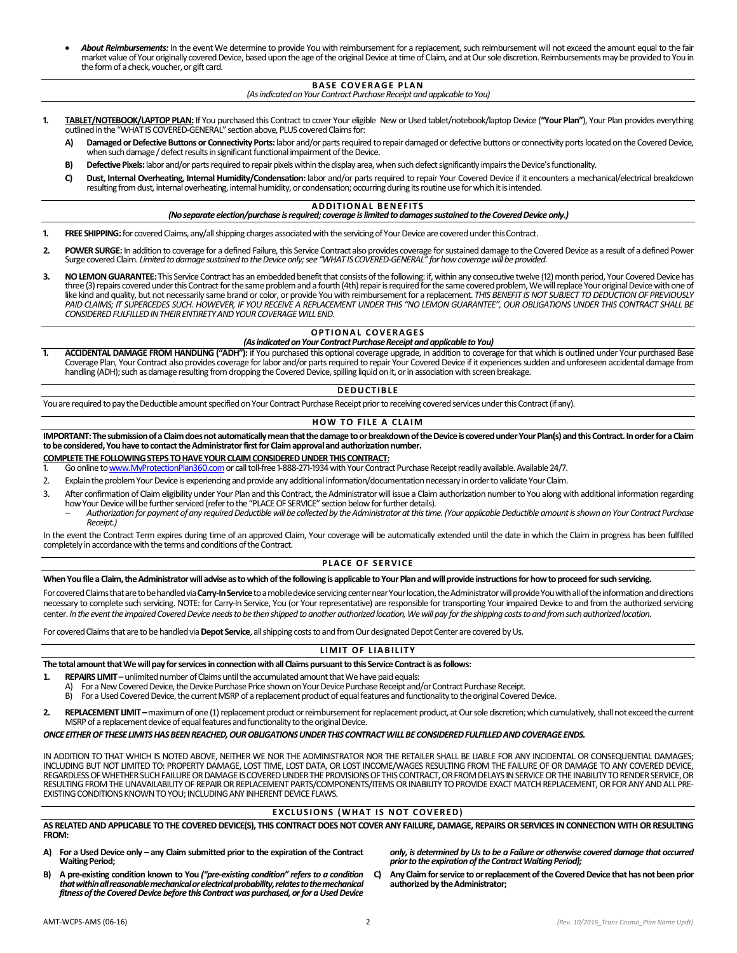*About Reimbursements:* In the event We determine to provide You with reimbursement for a replacement, such reimbursement will not exceed the amount equal to the fair market value of Your originally covered Device, based upon the age of the original Device at time of Claim, and at Our sole discretion. Reimbursements may be provided to You in the form of a check, voucher, or gift card.

# **BASE COVERAGE PLAN**

*(As indicated on Your Contract Purchase Receipt and applicable to You)*

- **1. TABLET/NOTEBOOK/LAPTOP PLAN:** If You purchased this Contract to cover Your eligible New or Used tablet/notebook/laptop Device (**"Your Plan"**), Your Plan provides everything outlined in the "WHAT IS COVERED-GENERAL" section above, PLUS covered Claims for:
	- **A) Damaged or Defective Buttons or Connectivity Ports:** labor and/or parts required to repair damaged or defective buttons or connectivity ports located on the Covered Device, when such damage / defect results in significant functional impairment of the Device.
	- **B) Defective Pixels:**labor and/or parts required to repair pixels within the display area, when such defect significantly impairs the Device's functionality.
	- **C) Dust, Internal Overheating, Internal Humidity/Condensation:** labor and/or parts required to repair Your Covered Device if it encounters a mechanical/electrical breakdown resulting from dust, internal overheating, internal humidity, or condensation; occurring during its routine use for which it is intended.

#### **ADDITIONAL BENEFITS**

# *(No separate election/purchase is required; coverage is limited to damages sustained to the Covered Device only.)*

- **1. FREE SHIPPING:** for covered Claims, any/all shipping charges associated with the servicing of Your Device are covered under this Contract.
- 2. POWER SURGE: In addition to coverage for a defined Failure, this Service Contract also provides coverage for sustained damage to the Covered Device as a result of a defined Power Surge covered Claim. *Limited to damage sustained to the Device only; see "WHAT IS COVERED-GENERAL" for how coverage will be provided.*
- **3. NO LEMON GUARANTEE:** This Service Contract has an embedded benefit that consists of the following: if, within any consecutive twelve (12) month period, Your Covered Device has three (3) repairs covered under this Contract for the same problem and a fourth (4th) repair is required for the same covered problem, We will replace Your original Device with one of like kind and quality, but not necessarily same brand or color, or provide You with reimbursement for a replacement. *THIS BENEFIT IS NOT SUBJECT TO DEDUCTION OF PREVIOUSLY PAID CLAIMS; IT SUPERCEDES SUCH. HOWEVER, IF YOU RECEIVE A REPLACEMENT UNDER THIS "NO LEMON GUARANTEE", OUR OBLIGATIONS UNDER THIS CONTRACT SHALL BE CONSIDERED FULFILLED IN THEIR ENTIRETY AND YOUR COVERAGE WILL END.*

#### **OPTIONAL COVERAGES** *(As indicated on Your Contract Purchase Receipt and applicable to You)*

ACCIDENTAL DAMAGE FROM HANDLING ("ADH"): if You purchased this optional coverage upgrade, in addition to coverage for that which is outlined under Your purchased Base Coverage Plan, Your Contract also provides coverage forlabor and/or parts required to repair Your Covered Device if it experiences sudden and unforeseen accidental damage from handling (ADH); such as damage resulting from dropping the Covered Device, spilling liquid on it, or in association with screen breakage.

#### **D E D U CT I B L E**

You are required to pay the Deductible amount specified on Your Contract Purchase Receipt prior to receiving covered services under this Contract (if any).

#### **HOW TO FILE A CLAIM**

**IMPORTANT: The submission of a Claim does not automatically mean that the damage to or breakdown of the Device is covered under Your Plan(s) and this Contract. In order for a Claim to be considered, You have to contact the Administrator first for Claim approval and authorization number.**

# **COMPLETE THE FOLLOWING STEPS TO HAVE YOUR CLAIM CONSIDERED UNDER THIS CONTRACT:**<br>1 Go opline to www. MuProtection Plan360 com or call toll-free 1-888-271-1934 with Your Contract

Go online to www.MyProtectionPlan360.com or call toll-free 1-888-271-1934 with Your Contract Purchase Receipt readily available. Available 24/7.

- 2. Explain the problem Your Device is experiencing and provide any additional information/documentation necessary in orderto validate Your Claim.
- 3. After confirmation of Claim eligibility under Your Plan and this Contract, the Administrator will issue a Claim authorization number to You along with additional information regarding how Your Device will be further serviced (refer to the "PLACE OF SERVICE" section below for further details).
	- *Authorization for payment of any required Deductible will be collected by the Administrator at this time. (Your applicable Deductible amount is shown on Your Contract Purchase Receipt.)*

In the event the Contract Term expires during time of an approved Claim, Your coverage will be automatically extended until the date in which the Claim in progress has been fulfilled completely in accordance with the terms and conditions of the Contract.

# **PLACE OF SERVICE**

#### **When You file a Claim, the Administrator will advise as to which of the following is applicable to Your Plan and will provide instructions for how to proceed for such servicing.**

For covered Claims that are to be handled via **Carry-In Service**to a mobile device servicing center near Your location, the Administrator will provide You with all of the information and directions necessary to complete such servicing. NOTE: for Carry-In Service, You (or Your representative) are responsible for transporting Your impaired Device to and from the authorized servicing center. *In the event the impaired Covered Device needs to be then shipped to another authorized location, We will pay for the shipping costs to and from such authorized location.*

For covered Claims that are to be handled via **Depot Service**, all shipping costs to and from Our designated Depot Center are covered by Us.

#### **LIMIT OF LIABILITY**

**The total amount that We will pay for services in connection with all Claims pursuant to this Service Contract is as follows:**

- **1. REPAIRS LIMIT** unlimited number of Claims until the accumulated amount that We have paid equals:<br>A) For a New Covered Device, the Device Purchase Price shown on Your Device Purchase Beceint and
	- For a New Covered Device, the Device Purchase Price shown on Your Device Purchase Receipt and/or Contract Purchase Receipt.
	- B) For a Used Covered Device, the current MSRP of a replacement productof equal features and functionality to the original Covered Device.
- 2. REPLACEMENT LIMIT maximum of one (1) replacement product or reimbursement for replacement product, at Our sole discretion; which cumulatively, shall not exceed the current MSRP of a replacement device of equal features and functionality to the original Device.

#### *ONCE EITHER OF THESE LIMITSHASBEEN REACHED, OUR OBLIGATIONS UNDER THIS CONTRACT WILL BE CONSIDERED FULFILLED AND COVERAGE ENDS.*

IN ADDITION TO THAT WHICH IS NOTED ABOVE, NEITHER WE NOR THE ADMINISTRATOR NOR THE RETAILER SHALL BE LIABLE FOR ANY INCIDENTAL OR CONSEQUENTIAL DAMAGES; INCLUDING BUT NOT LIMITED TO: PROPERTY DAMAGE, LOST TIME, LOST DATA, OR LOST INCOME/WAGES RESULTING FROM THE FAILURE OF OR DAMAGE TO ANY COVERED DEVICE, REGARDLESS OF WHETHER SUCH FAILURE OR DAMAGE IS COVERED UNDER THE PROVISIONS OF THIS CONTRACT, ORFROM DELAYS IN SERVICE OR THE INABILITY TO RENDER SERVICE, OR RESULTING FROMTHE UNAVAILABILITY OF REPAIR OR REPLACEMENT PARTS/COMPONENTS/ITEMS OR INABILITY TO PROVIDE EXACT MATCH REPLACEMENT, OR FOR ANY AND ALL PRE-EXISTING CONDITIONS KNOWN TO YOU; INCLUDING ANY INHERENT DEVICE FLAWS.

# **EXCLUSIONS (WHAT IS NOT COVERED)**

**AS RELATED AND APPLICABLE TO THE COVERED DEVICE(S), THIS CONTRACT DOES NOT COVER ANY FAILURE, DAMAGE, REPAIRS OR SERVICES IN CONNECTION WITH OR RESULTING FROM:** 

**A) For a Used Device only – any Claim submitted prior to the expiration of the Contract Waiting Period;**

*only, is determined by Us to be a Failure or otherwise covered damage that occurred prior to the expiration of the Contract Waiting Period);*

**B) A pre-existing condition known to You** *("pre-existing condition" refers to a condition that within all reasonable mechanical or electrical probability, relates to the mechanical*  fitness of the Covered Device before this Contract was purchased, or for a Used Device

**C) Any Claim for service to or replacement of the Covered Device that has not been prior authorized by the Administrator;**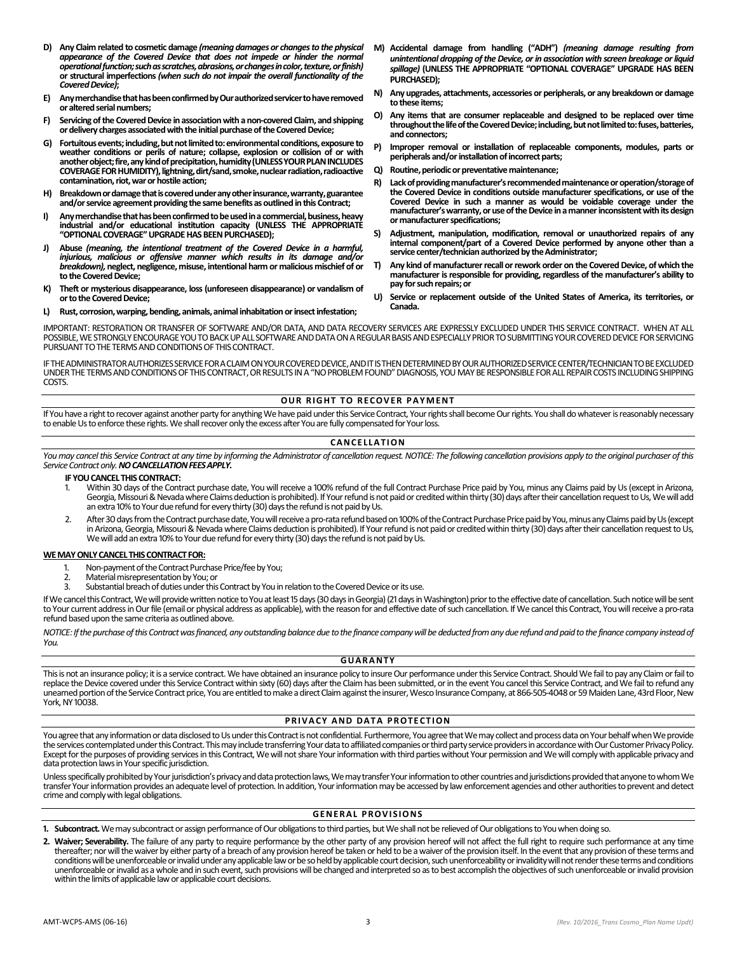- **D) Any Claim related to cosmetic damage** *(meaning damages or changes to the physical appearance of the Covered Device that does not impede or hinder the normal operational function; such as scratches, abrasions, or changes in color, texture, or finish)* **or structural imperfections** *(when such do not impair the overall functionality of the Covered Device)***;**
- **E) Any merchandise that has been confirmed by Our authorized servicer to have removed or altered serial numbers;**
- **F) Servicing of the Covered Device in association with a non-covered Claim, and shipping ordelivery charges associated with the initial purchase of the Covered Device;**
- **G) Fortuitous events; including, but not limited to: environmental conditions, exposure to weather conditions or perils of nature; collapse, explosion or collision of or with another object; fire, any kind of precipitation,humidity(UNLESS YOUR PLAN INCLUDES COVERAGE FOR HUMIDITY), lightning, dirt/sand, smoke, nuclear radiation, radioactive contamination, riot, war or hostile action;**
- **H) Breakdown or damage that is covered under any other insurance, warranty, guarantee and/or service agreement providing the same benefits as outlined in this Contract;**
- **I) Any merchandise that has been confirmed to be used in a commercial, business, heavy industrial and/or educational institution capacity (UNLESS THE APPROPRIATE "OPTIONAL COVERAGE"UPGRADEHAS BEEN PURCHASED);**
- **J) Abuse** *(meaning, the intentional treatment of the Covered Device in a harmful, injurious, malicious or offensive manner which results in its damage and/or breakdown),* **neglect, negligence, misuse, intentional harm or malicious mischief of or to the Covered Device;**
- **K) Theft or mysterious disappearance, loss (unforeseen disappearance) or vandalism of or to the Covered Device;**
- **L) Rust, corrosion, warping, bending, animals, animal inhabitation or insect infestation;**
- **M) Accidental damage from handling ("ADH")** *(meaning damage resulting from unintentional dropping of the Device, or in association with screen breakage or liquid spillage)* **(UNLESS THE APPROPRIATE "OPTIONAL COVERAGE" UPGRADE HAS BEEN PURCHASED);**
- **N) Any upgrades, attachments, accessories or peripherals, or any breakdown or damage to these items;**
- **O) Any items that are consumer replaceable and designed to be replaced over time throughout the life of the Covered Device;including, but not limited to:fuses, batteries, and connectors;**
- **P) Improper removal or installation of replaceable components, modules, parts or peripherals and/or installation of incorrect parts;**
- **Q) Routine, periodic or preventative maintenance;**
- **R)** Lack of providing manufacturer's recommended maintenance or operation/storage of **the Covered Device in conditions outside manufacturer specifications, or use of the Covered Device in such a manner as would be voidable coverage under the manufacturer's warranty, or use of the Device in a manner inconsistent with its design or manufacturer specifications;**
- **S) Adjustment, manipulation, modification, removal or unauthorized repairs of any internal component/part of a Covered Device performed by anyone other than a service center/technician authorized by the Administrator;**
- **T) Any kind of manufacturer recall or rework order on the Covered Device, of which the manufacturer is responsible for providing, regardless of the manufacturer's ability to pay for such repairs; or**
- **U) Service or replacement outside of the United States of America, its territories, or Canada.**

IMPORTANT: RESTORATION OR TRANSFER OF SOFTWARE AND/OR DATA, AND DATA RECOVERY SERVICES ARE EXPRESSLY EXCLUDED UNDER THIS SERVICE CONTRACT. WHEN AT ALL POSSIBLE, WE STRONGLY ENCOURAGE YOU TO BACK UP ALL SOFTWARE AND DATA ON A REGULAR BASIS AND ESPECIALLY PRIOR TO SUBMITTING YOUR COVERED DEVICE FOR SERVICING PURSUANT TO THE TERMS AND CONDITIONS OF THIS CONTRACT.

IF THE ADMINISTRATOR AUTHORIZES SERVICE FOR A CLAIM ON YOUR COVERED DEVICE, AND IT IS THEN DETERMINED BY OUR AUTHORIZED SERVICE CENTER/TECHNICIAN TO BE EXCLUDED UNDER THE TERMS AND CONDITIONS OF THIS CONTRACT, OR RESULTS IN A "NO PROBLEM FOUND" DIAGNOSIS, YOU MAY BE RESPONSIBLE FOR ALL REPAIR COSTS INCLUDING SHIPPING COSTS.

# **OUR RIGHT TO RECOVER PAYMENT**

If You have a right to recover against another party for anything We have paid under this Service Contract, Your rights shall become Our rights. You shall do whatever is reasonably necessary to enable Us to enforce these rights. We shall recover only the excess after You are fully compensated for Your loss.

# **CA N CE L L A T I O N**

You may cancel this Service Contract at any time by informing the Administrator of cancellation request. NOTICE: The following cancellation provisions apply to the original purchaser of this *Service Contract only.NO CANCELLATION FEES APPLY.*

#### **IF YOU CANCEL THIS CONTRACT:**

- 1. Within 30 days of the Contract purchase date, You will receive a 100% refund of the full Contract Purchase Price paid by You, minus any Claims paid by Us (except in Arizona, Georgia, Missouri & Nevada where Claims deduction is prohibited). If Your refund is not paid or credited within thirty (30) days after their cancellation request to Us, We will add an extra 10% to Your due refund for every thirty (30) days the refund is not paid by Us.
- 2. After 30 days from the Contract purchase date, You will receive a pro-rata refund based on 100% of the Contract Purchase Price paid by You, minus any Claims paid by Us (except in Arizona, Georgia, Missouri & Nevada where Claims deduction is prohibited). If Yourrefund is not paid or credited within thirty (30) days after their cancellation request to Us, We will add an extra 10% to Your due refund for every thirty (30) days the refund is not paid by Us.

#### **WE MAY ONLY CANCEL THIS CONTRACT FOR:**

- 1. Non-payment of the Contract Purchase Price/fee by You;<br>2. Material misrepresentation by You: or
- 2. Material misrepresentation by You; or
- Substantial breach of duties under this Contract by You in relation to the Covered Device or its use.

If Wecancel this Contract, We will provide written notice to You at least 15 days (30 days in Georgia) (21 days in Washington) prior to the effective date of cancellation. Such notice will be sent to Your current address in Our file (email or physical address as applicable), with the reason for and effective date of such cancellation. If We cancel this Contract, You will receive a pro-rata refund based upon the same criteria as outlined above.

*NOTICE: If the purchase of this Contract was financed, any outstanding balance due to the finance company will be deducted from any due refund and paid to the finance company instead of You.*

#### **G U A R A N T Y**

This is not an insurance policy; it is a service contract. We have obtained an insurance policy to insure Our performance under this Service Contract. Should We fail to pay any Claim or fail to replace the Device covered under this Service Contract within sixty (60) days after the Claim has been submitted, or in the event You cancel this Service Contract, and We fail to refund any unearned portion of theService Contract price, You are entitled to make a direct Claim against the insurer, Wesco Insurance Company, at 866-505-4048 or 59 Maiden Lane, 43rd Floor, New York, NY 10038.

# **PRIVACY AND DATA PROTECTION**

You agree that any information or data disclosed to Us under this Contract is not confidential. Furthermore, You agree that We may collect and process data on Your behalf when We provide the services contemplated under this Contract. This may include transferring Your data to affiliated companies or thirdparty service providers in accordance with Our Customer Privacy Policy. Except for the purposes of providing services in this Contract, We will not share Your information with third parties without Your permission and We will comply with applicable privacy and data protection laws in Your specific jurisdiction.

Unless specifically prohibited by Your jurisdiction's privacy and data protection laws, We may transfer Your information to other countries and jurisdictions provided that anyone to whom We transferYour information provides an adequate level of protection. In addition, Your information may be accessed by law enforcement agencies and other authorities to prevent and detect crime and comply with legal obligations.

#### **GENERAL PROVISIONS**

- **1. Subcontract.**We may subcontract or assign performance of Our obligations to third parties, but We shall not be relieved of Our obligations to You when doing so.
- **2. Waiver; Severability.** The failure of any party to require performance by the other party of any provision hereof will not affect the full right to require such performance at any time thereafter; nor will the waiver by either party of a breach of any provision hereof be taken or held to be a waiver of the provision itself. In the event that any provision of these terms and conditions will be unenforceable or invalid under any applicable law or be so held by applicable court decision, such unenforceability or invalidity will notrender these terms and conditions unenforceable or invalid as a whole and in such event, such provisions will be changed and interpreted so as to best accomplish the objectives of such unenforceable or invalid provision within the limits of applicable lawor applicable court decisions.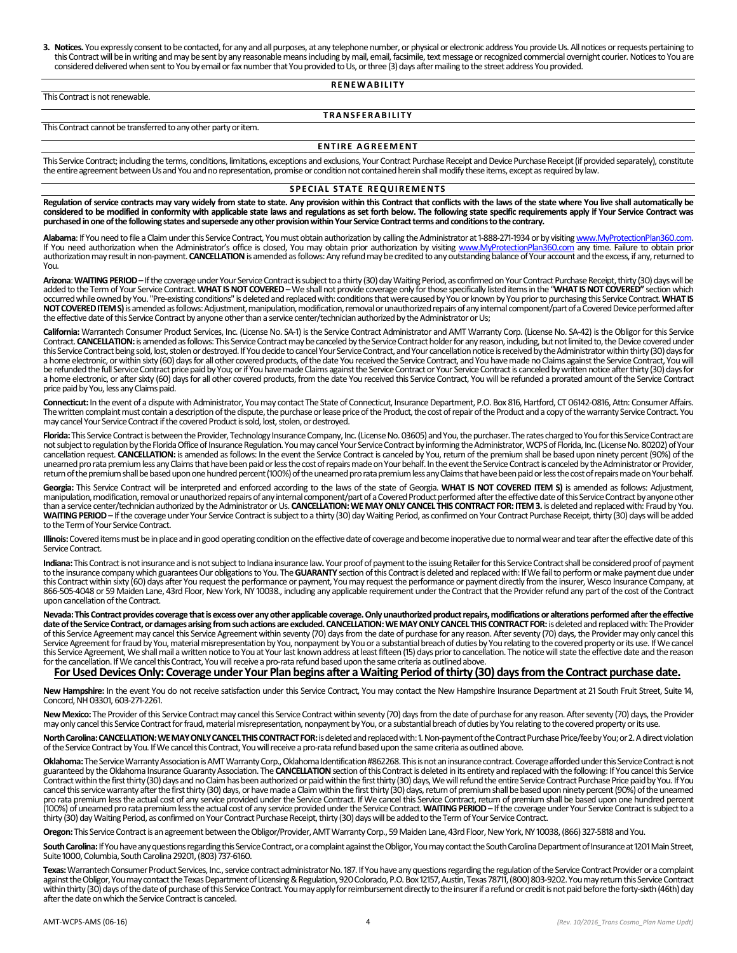**3. Notices.** You expressly consent to be contacted, for any and all purposes, at any telephone number, or physical or electronic address You provide Us. All notices or requests pertaining to this Contract will be in writing and may be sent by any reasonable means including by mail, email, facsimile, text message or recognized commercial overnight courier. Notices to You are considered delivered when sent to You by email or fax number that You provided to Us, or three (3) days after mailing to the street address You provided.

### **R E N E W A B I L I T Y**

This Contract is not renewable.

# **T R A N S F E R A B I L I T Y**

This Contract cannot be transferred to any other party or item.

#### **ENTIRE AGREEMENT**

This Service Contract; including the terms, conditions, limitations, exceptions and exclusions, Your Contract Purchase Receipt and Device Purchase Receipt (if provided separately), constitute the entire agreement between Us and You and no representation, promise or condition not contained herein shall modify these items, except as required by law.

#### **SPECIAL STATE REQUIREMENTS**

**Regulation of service contracts may vary widely from state to state. Any provision within this Contract that conflicts with the laws of the state where You live shall automatically be considered to be modified in conformity with applicable state laws and regulations as set forth below. The following state specific requirements apply if Your Service Contract was purchased in one of the following states and supersede any other provision within Your Service Contract terms and conditions to the contrary.**

**Alabama**: If You need to file a Claimunder this Service Contract, You must obtain authorization by calling the Administrator at 1-888-271-1934 or by visitin[g www.MyProtectionPlan360.com.](http://www.myprotectionplan360.com/)  If You need authorization when the Administrator's office is closed, You may obtain prior authorization by visiting [www.MyProtectionPlan360.com](http://www.myprotectionplan360.com/) any time. Failure to obtain prior authorization may result in non-payment. **CANCELLATION**is amended as follows: Any refund may be credited to any outstanding balance of Your account and the excess, if any, returned to You.

**Arizona**: **WAITING PERIOD** –If the coverage under Your Service Contract is subject to a thirty (30) day Waiting Period, as confirmed on Your Contract Purchase Receipt, thirty (30) days will be added to the Term of Your Service Contract. **WHAT IS NOT COVERED** — We shall not provide coverage only for those specifically listed items in the "**WHAT IS NOT COVERED"** section which<br>occurred while owned by You. "Pre-exis NOT COVERED ITEM S) is amended as follows: Adjustment, manipulation, modification, removal or unauthorized repairs of any internal component/part of a Covered Device performed after the effective date of this Service Contract by anyone other than a service center/technician authorized by the Administrator or Us;

**California:** Warrantech Consumer Product Services, Inc. (License No. SA-1) is the Service Contract Administrator and AMT Warranty Corp. (License No. SA-42) is the Obligor for this Service Contract. CANCELLATION: is amended as follows: This Service Contract may be canceled by the Service Contract holder for any reason, including, but not limited to, the Device covered under this Service Contract being sold, lost, stolen or destroyed. If You decide to cancel Your Service Contract, and Your cancellation notice is received by the Administrator within thirty (30) days for a home electronic, or within sixty (60) days for all other covered products, of the date You received the Service Contract, and You have made no Claims against the Service Contract, You will be refunded the full Service Contract price paid by You; or if You have made Claims against the Service Contract or Your Service Contract is canceled by written notice after thirty (30) days for a home electronic, or after sixty (60) days for all other covered products, from the date You received this Service Contract, You will be refunded a prorated amount of the Service Contract price paid by You, less any Claims paid.

Connecticut: In the event of a dispute with Administrator, You may contact The State of Connecticut, Insurance Department, P.O. Box 816, Hartford, CT 06142-0816, Attn: Consumer Affairs. The written complaint must contain a description of the dispute, the purchase or lease price of the Product, the cost of repair of the Product and a copy of the warranty Service Contract. You may cancel Your Service Contract if the covered Product is sold, lost, stolen, or destroyed.

Florida: This Service Contract is between the Provider, Technology Insurance Company, Inc. (License No. 03605) and You, the purchaser. The rates charged to You for this Service Contract are not subject to regulation by the Florida Office of Insurance Regulation. You may cancel Your Service Contract by informing the Administrator, WCPS of Florida, Inc. (License No. 80202) of Your cancellation request. **CANCELLATION:** is amended as follows: In the event the Service Contract is canceled by You, return of the premium shall be based upon ninety percent (90%) of the unearned pro rata premium less any Claims that have been paid or less the cost of repairs made on Your behalf. In the event the Service Contract is canceled by the Administrator or Provider, return of the premiumshall be based upon one hundred percent (100%) of the unearned pro rata premium less any Claims that have been paid or less the cost of repairs made on Your behalf.

**Georgia:** This Service Contract will be interpreted and enforced according to the laws of the state of Georgia. **WHAT IS NOT COVERED ITEM S)** is amended as follows: Adjustment, manipulation, modification, removal or unauthorized repairs of any internal component/part of a Covered Product performed after the effective date of this Service Contract by anyone other than a service center/technicianauthorized by the Administrator or Us. **CANCELLATION:WE MAY ONLY CANCEL THIS CONTRACT FOR: ITEM 3.** is deleted and replaced with: Fraud by You. WAITING PERIOD – If the coverage under Your Service Contract is subject to a thirty (30) day Waiting Period, as confirmed on Your Contract Purchase Receipt, thirty (30) days will be added to the Term of Your Service Contract.

**Illinois:** Covered items must be in place and in good operating condition on the effective date of coverage and become inoperative due to normal wear and tear after the effective date of this Service Contract.

**Indiana:** This Contract is not insurance and is not subject to Indiana insurance law**.** Your proof of payment to the issuing Retailer for this Service Contract shall be considered proof of payment to the insurance company which guarantees Our obligations to You. The GUARANTY section of this Contract is deleted and replaced with: If We fail to perform or make payment due under this Contract within sixty (60) days after You request the performance or payment, You may request the performance or payment directly from the insurer, Wesco Insurance Company, at 866-505-4048 or 59 Maiden Lane, 43rd Floor, New York, NY 10038., including any applicable requirement under the Contract that the Providerrefund any part of the cost of the Contract upon cancellation of the Contract.

Nevada: This Contract provides coverage that is excess over any other applicable coverage. Only unauthorized product repairs, modifications or alterations performed after the effective<br>date of the Service Contract, or dama of this Service Agreement may cancel this Service Agreement within seventy (70) days from the date of purchase for any reason. After seventy (70) days, the Provider may only cancel this Service Agreement for fraud by You, material misrepresentation by You, nonpayment by You ra substantial breach of duties by You relating to the covered property or its use. If We cancel<br>this Service Agreement, We shall mai for the cancellation. If We cancel this Contract, You will receive a pro-rata refund based upon the same criteria as outlined above.

# **For Used Devices Only: Coverage under Your Plan begins after a Waiting Period of thirty (30) days from the Contract purchase date.**

**New Hampshire:** In the event You do not receive satisfaction under this Service Contract, You may contact the New Hampshire Insurance Department at 21 South Fruit Street, Suite 14, Concord, NH 03301, 603-271-2261.

New Mexico: The Provider of this Service Contract may cancel this Service Contract within seventy (70) days from the date of purchase for any reason. After seventy (70) days, the Provider may only cancel this Service Contract for fraud, material misrepresentation, nonpayment by You, or a substantial breach of duties by You relating to the covered property or its use.

**North Carolina: CANCELLATION: WE MAY ONLYCANCEL THIS CONTRACT FOR:**is deleted and replaced with: 1. Non-payment of the Contract Purchase Price/fee by You; or 2. A direct violation of the Service Contract by You. If We cancel this Contract, You will receive a pro-rata refund based upon the same criteria as outlined above.

**Oklahoma:**The Service Warranty Association is AMT Warranty Corp., Oklahoma Identification #862268. This is not an insurance contract. Coverage afforded under this Service Contract is not guaranteed by the Oklahoma Insurance Guaranty Association. The **CANCELLATION**section of this Contract is deleted in its entirety and replaced with the following: If You cancel this Service Contract within the first thirty (30) days and no Claimhas been authorized or paid within the first thirty (30) days, We will refund the entire Service Contract Purchase Price paidby You. If You cancel this service warranty after the first thirty (30) days, or have made a Claim within the first thirty (30) days, return of premium shall be based upon ninety percent (90%) of the unearned pro rata premium less the actual cost of any service provided under the Service Contract. If We cancel this Service Contract, return of premium shall be based upon one hundred percent (100%) of unearned pro rata premium less the actual cost of any service provided under the Service Contract. **WAITING PERIOD** – If the coverage under Your Service Contract is subject to a thirty (30) day Waiting Period, as confirmed on Your Contract Purchase Receipt, thirty (30) days will be added to the Term of Your Service Contract.

**Oregon:**This Service Contract is an agreement between the Obligor/Provider, AMT Warranty Corp., 59 Maiden Lane, 43rd Floor, New York, NY 10038, (866) 327-5818 and You.

**South Carolina:**If You have any questions regarding this Service Contract, or a complaint against the Obligor, You may contact the South Carolina Department of Insurance at 1201 Main Street, Suite 1000, Columbia, South Carolina 29201, (803) 737-6160.

**Texas:**Warrantech Consumer Product Services, Inc.,service contract administrator No. 187. If You have any questions regarding the regulation of the Service Contract Provider or a complaint against the Obligor, You may contact the Texas Department of Licensing & Regulation, 920 Colorado, P.O. Box 12157, Austin, Texas 78711, (800) 803-9202. You may return this Service Contract within thirty (30) days of the date of purchase of this Service Contract. You may apply for reimbursement directly to the insurer if a refund or credit is not paid before the forty-sixth (46th) day after the date on which the Service Contract is canceled.